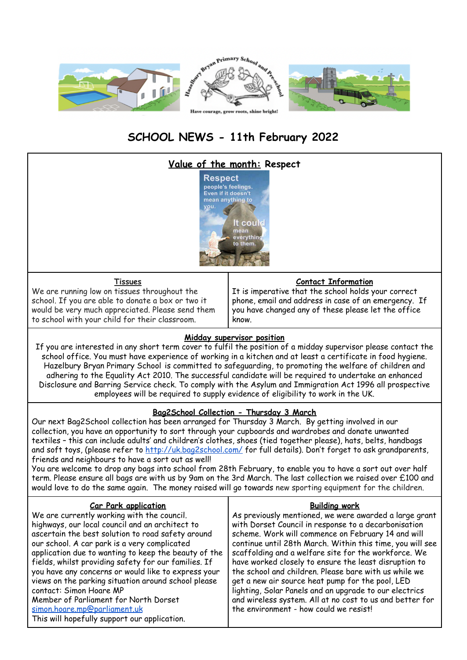

# **SCHOOL NEWS - 11th February 2022**



have worked closely to ensure the least disruption to the school and children. Please bare with us while we get a new air source heat pump for the pool, LED lighting, Solar Panels and an upgrade to our electrics and wireless system. All at no cost to us and better for the environment - how could we resist

#### Member of Parliament for North Dorset [simon.hoare.mp@parliament.uk](mailto:simon.hoare.mp@parliament.uk) This will hopefully support our application.

contact: Simon Hoare MP

you have any concerns or would like to express your views on the parking situation around school please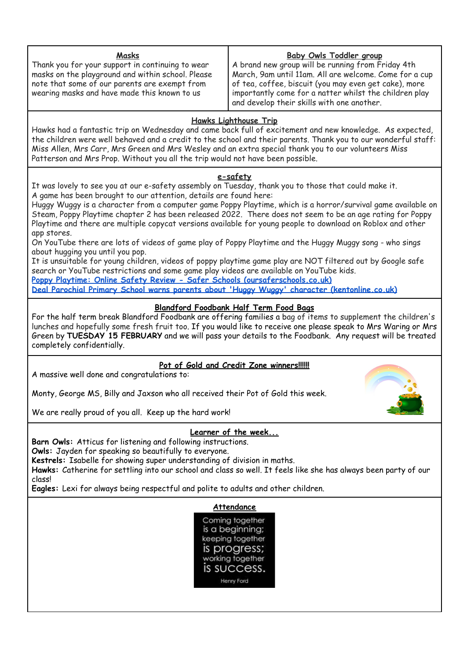#### **Masks**

Thank you for your support in continuing to wear masks on the playground and within school. Please note that some of our parents are exempt from wearing masks and have made this known to us

#### **Baby Owls Toddler group**

A brand new group will be running from Friday 4th March, 9am until 11am. All are welcome. Come for a cup of tea, coffee, biscuit (you may even get cake), more importantly come for a natter whilst the children play and develop their skills with one another.

### **Hawks Lighthouse Trip**

Hawks had a fantastic trip on Wednesday and came back full of excitement and new knowledge. As expected, the children were well behaved and a credit to the school and their parents. Thank you to our wonderful staff: Miss Allen, Mrs Carr, Mrs Green and Mrs Wesley and an extra special thank you to our volunteers Miss Patterson and Mrs Prop. Without you all the trip would not have been possible.

#### **e-safety**

It was lovely to see you at our e-safety assembly on Tuesday, thank you to those that could make it. A game has been brought to our attention, details are found here:

Huggy Wuggy is a character from a computer game Poppy Playtime, which is a horror/survival game available on Steam, Poppy Playtime chapter 2 has been released 2022. There does not seem to be an age rating for Poppy Playtime and there are multiple copycat versions available for young people to download on Roblox and other app stores.

On YouTube there are lots of videos of game play of Poppy Playtime and the Huggy Muggy song - who sings about hugging you until you pop.

It is unsuitable for young children, videos of poppy playtime game play are NOT filtered out by Google safe search or YouTube restrictions and some game play videos are available on YouTube kids.

**Poppy Playtime: Online Safety Review - Safer Schools [\(oursaferschools.co.uk\)](https://oursaferschools.co.uk/2021/12/03/poppy-playtime-online-safety-review/)**

**Deal Parochial Primary School warns parents about 'Huggy Wuggy' character [\(kentonline.co.uk\)](https://www.kentonline.co.uk/deal/news/schools-warning-over-bear-that-sings-about-killing-261026/)**

### **Blandford Foodbank Half Term Food Bags**

For the half term break Blandford Foodbank are offering families a bag of items to supplement the children's lunches and hopefully some fresh fruit too. If you would like to receive one please speak to Mrs Waring or Mrs Green by **TUESDAY 15 FEBRUARY** and we will pass your details to the Foodbank. Any request will be treated completely confidentially.

#### **Pot of Gold and Credit Zone winners!!!!!!**

A massive well done and congratulations to:

Monty, George MS, Billy and Jaxson who all received their Pot of Gold this week.



We are really proud of you all. Keep up the hard work!

## **Learner of the week...**

**Barn Owls:** Atticus for listening and following instructions.

**Owls:** Jayden for speaking so beautifully to everyone.

**Kestrels:** Isabelle for showing super understanding of division in maths.

**Hawks:** Catherine for settling into our school and class so well. It feels like she has always been party of our class!

**Eagles:** Lexi for always being respectful and polite to adults and other children.